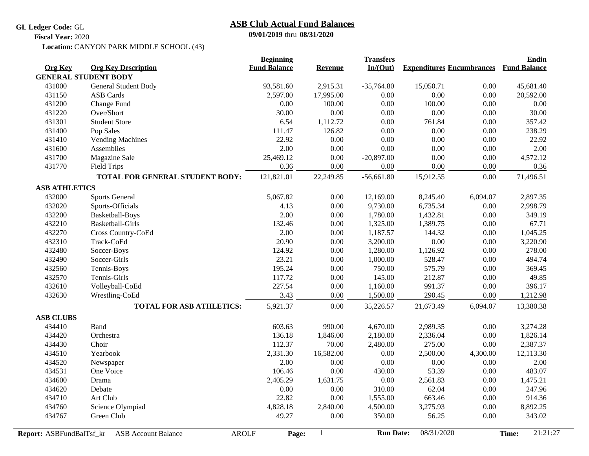**GL Ledger Code:** GL

## **09/01/2019** thru **08/31/2020 ASB Club Actual Fund Balances**

**Fiscal Year:** 2020

CANYON PARK MIDDLE SCHOOL (43) **Location:**

|                             |                                            | <b>Beginning</b>    |                | <b>Transfers</b> |                                  |          | Endin               |
|-----------------------------|--------------------------------------------|---------------------|----------------|------------------|----------------------------------|----------|---------------------|
| <b>Org Key</b>              | <b>Org Key Description</b>                 | <b>Fund Balance</b> | <b>Revenue</b> | In/(Out)         | <b>Expenditures Encumbrances</b> |          | <b>Fund Balance</b> |
| <b>GENERAL STUDENT BODY</b> |                                            |                     |                |                  |                                  |          |                     |
| 431000                      | General Student Body                       | 93,581.60           | 2,915.31       | $-35,764.80$     | 15,050.71                        | 0.00     | 45,681.40           |
| 431150                      | <b>ASB</b> Cards                           | 2,597.00            | 17,995.00      | 0.00             | 0.00                             | 0.00     | 20,592.00           |
| 431200                      | Change Fund                                | 0.00                | 100.00         | 0.00             | 100.00                           | 0.00     | 0.00                |
| 431220                      | Over/Short                                 | 30.00               | 0.00           | 0.00             | 0.00                             | 0.00     | 30.00               |
| 431301                      | <b>Student Store</b>                       | 6.54                | 1,112.72       | 0.00             | 761.84                           | 0.00     | 357.42              |
| 431400                      | Pop Sales                                  | 111.47              | 126.82         | 0.00             | 0.00                             | 0.00     | 238.29              |
| 431410                      | <b>Vending Machines</b>                    | 22.92               | 0.00           | 0.00             | 0.00                             | 0.00     | 22.92               |
| 431600                      | Assemblies                                 | 2.00                | 0.00           | 0.00             | 0.00                             | 0.00     | 2.00                |
| 431700                      | Magazine Sale                              | 25,469.12           | 0.00           | $-20,897.00$     | 0.00                             | 0.00     | 4,572.12            |
| 431770                      | <b>Field Trips</b>                         | 0.36                | 0.00           | 0.00             | 0.00                             | 0.00     | 0.36                |
|                             | TOTAL FOR GENERAL STUDENT BODY:            | 121,821.01          | 22,249.85      | $-56,661.80$     | 15,912.55                        | 0.00     | 71,496.51           |
| <b>ASB ATHLETICS</b>        |                                            |                     |                |                  |                                  |          |                     |
| 432000                      | <b>Sports General</b>                      | 5,067.82            | 0.00           | 12,169.00        | 8,245.40                         | 6,094.07 | 2,897.35            |
| 432020                      | Sports-Officials                           | 4.13                | 0.00           | 9,730.00         | 6,735.34                         | $0.00\,$ | 2,998.79            |
| 432200                      | Basketball-Boys                            | 2.00                | 0.00           | 1,780.00         | 1,432.81                         | $0.00\,$ | 349.19              |
| 432210                      | <b>Basketball-Girls</b>                    | 132.46              | 0.00           | 1,325.00         | 1,389.75                         | $0.00\,$ | 67.71               |
| 432270                      | Cross Country-CoEd                         | 2.00                | 0.00           | 1,187.57         | 144.32                           | $0.00\,$ | 1,045.25            |
| 432310                      | Track-CoEd                                 | 20.90               | 0.00           | 3,200.00         | 0.00                             | 0.00     | 3,220.90            |
| 432480                      | Soccer-Boys                                | 124.92              | 0.00           | 1,280.00         | 1,126.92                         | $0.00\,$ | 278.00              |
| 432490                      | Soccer-Girls                               | 23.21               | $0.00\,$       | 1,000.00         | 528.47                           | $0.00\,$ | 494.74              |
| 432560                      | Tennis-Boys                                | 195.24              | $0.00\,$       | 750.00           | 575.79                           | $0.00\,$ | 369.45              |
| 432570                      | Tennis-Girls                               | 117.72              | $0.00\,$       | 145.00           | 212.87                           | 0.00     | 49.85               |
| 432610                      | Volleyball-CoEd                            | 227.54              | $0.00\,$       | 1,160.00         | 991.37                           | $0.00\,$ | 396.17              |
| 432630                      | Wrestling-CoEd                             | 3.43                | 0.00           | 1,500.00         | 290.45                           | $0.00\,$ | 1,212.98            |
|                             | <b>TOTAL FOR ASB ATHLETICS:</b>            | 5,921.37            | 0.00           | 35,226.57        | 21,673.49                        | 6,094.07 | 13,380.38           |
| <b>ASB CLUBS</b>            |                                            |                     |                |                  |                                  |          |                     |
| 434410                      | Band                                       | 603.63              | 990.00         | 4,670.00         | 2,989.35                         | 0.00     | 3,274.28            |
| 434420                      | Orchestra                                  | 136.18              | 1,846.00       | 2,180.00         | 2,336.04                         | 0.00     | 1,826.14            |
| 434430                      | Choir                                      | 112.37              | 70.00          | 2,480.00         | 275.00                           | 0.00     | 2,387.37            |
| 434510                      | Yearbook                                   | 2,331.30            | 16,582.00      | 0.00             | 2,500.00                         | 4,300.00 | 12,113.30           |
| 434520                      | Newspaper                                  | 2.00                | 0.00           | 0.00             | 0.00                             | $0.00\,$ | 2.00                |
| 434531                      | One Voice                                  | 106.46              | 0.00           | 430.00           | 53.39                            | 0.00     | 483.07              |
| 434600                      | Drama                                      | 2,405.29            | 1,631.75       | 0.00             | 2,561.83                         | 0.00     | 1,475.21            |
| 434620                      | Debate                                     | 0.00                | 0.00           | 310.00           | 62.04                            | 0.00     | 247.96              |
| 434710                      | Art Club                                   | 22.82               | 0.00           | 1,555.00         | 663.46                           | $0.00\,$ | 914.36              |
| 434760                      | Science Olympiad                           | 4,828.18            | 2,840.00       | 4,500.00         | 3,275.93                         | $0.00\,$ | 8,892.25            |
| 434767                      | Green Club                                 | 49.27               | 0.00           | 350.00           | 56.25                            | 0.00     | 343.02              |
| Report: ASBFundBalTsf kr    | <b>AROLF</b><br><b>ASB Account Balance</b> | Page:               | 1              | <b>Run Date:</b> | 08/31/2020                       |          | 21:21:27<br>Time:   |